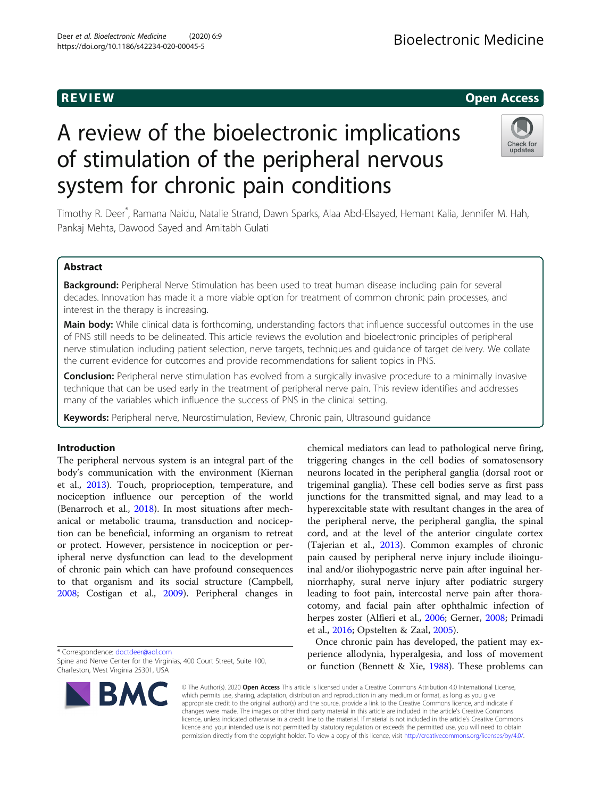# A review of the bioelectronic implications of stimulation of the peripheral nervous system for chronic pain conditions

Timothy R. Deer\* , Ramana Naidu, Natalie Strand, Dawn Sparks, Alaa Abd-Elsayed, Hemant Kalia, Jennifer M. Hah, Pankaj Mehta, Dawood Sayed and Amitabh Gulati

# Abstract

Background: Peripheral Nerve Stimulation has been used to treat human disease including pain for several decades. Innovation has made it a more viable option for treatment of common chronic pain processes, and interest in the therapy is increasing.

Main body: While clinical data is forthcoming, understanding factors that influence successful outcomes in the use of PNS still needs to be delineated. This article reviews the evolution and bioelectronic principles of peripheral nerve stimulation including patient selection, nerve targets, techniques and guidance of target delivery. We collate the current evidence for outcomes and provide recommendations for salient topics in PNS.

**Conclusion:** Peripheral nerve stimulation has evolved from a surgically invasive procedure to a minimally invasive technique that can be used early in the treatment of peripheral nerve pain. This review identifies and addresses many of the variables which influence the success of PNS in the clinical setting.

Keywords: Peripheral nerve, Neurostimulation, Review, Chronic pain, Ultrasound quidance

# Introduction

The peripheral nervous system is an integral part of the body's communication with the environment (Kiernan et al., [2013\)](#page-11-0). Touch, proprioception, temperature, and nociception influence our perception of the world (Benarroch et al., [2018\)](#page-10-0). In most situations after mechanical or metabolic trauma, transduction and nociception can be beneficial, informing an organism to retreat or protect. However, persistence in nociception or peripheral nerve dysfunction can lead to the development of chronic pain which can have profound consequences to that organism and its social structure (Campbell, [2008](#page-10-0); Costigan et al., [2009\)](#page-10-0). Peripheral changes in

\* Correspondence: [doctdeer@aol.com](mailto:doctdeer@aol.com)

Spine and Nerve Center for the Virginias, 400 Court Street, Suite 100, Charleston, West Virginia 25301, USA

chemical mediators can lead to pathological nerve firing, triggering changes in the cell bodies of somatosensory neurons located in the peripheral ganglia (dorsal root or trigeminal ganglia). These cell bodies serve as first pass junctions for the transmitted signal, and may lead to a hyperexcitable state with resultant changes in the area of the peripheral nerve, the peripheral ganglia, the spinal cord, and at the level of the anterior cingulate cortex (Tajerian et al., [2013](#page-12-0)). Common examples of chronic pain caused by peripheral nerve injury include ilioinguinal and/or iliohypogastric nerve pain after inguinal herniorrhaphy, sural nerve injury after podiatric surgery leading to foot pain, intercostal nerve pain after thoracotomy, and facial pain after ophthalmic infection of herpes zoster (Alfieri et al., [2006;](#page-10-0) Gerner, [2008;](#page-11-0) Primadi et al., [2016](#page-11-0); Opstelten & Zaal, [2005](#page-11-0)).

Once chronic pain has developed, the patient may experience allodynia, hyperalgesia, and loss of movement or function (Bennett & Xie, [1988\)](#page-10-0). These problems can

© The Author(s). 2020 Open Access This article is licensed under a Creative Commons Attribution 4.0 International License, which permits use, sharing, adaptation, distribution and reproduction in any medium or format, as long as you give appropriate credit to the original author(s) and the source, provide a link to the Creative Commons licence, and indicate if changes were made. The images or other third party material in this article are included in the article's Creative Commons licence, unless indicated otherwise in a credit line to the material. If material is not included in the article's Creative Commons licence and your intended use is not permitted by statutory regulation or exceeds the permitted use, you will need to obtain permission directly from the copyright holder. To view a copy of this licence, visit [http://creativecommons.org/licenses/by/4.0/.](http://creativecommons.org/licenses/by/4.0/)





# R EVI EW Open Access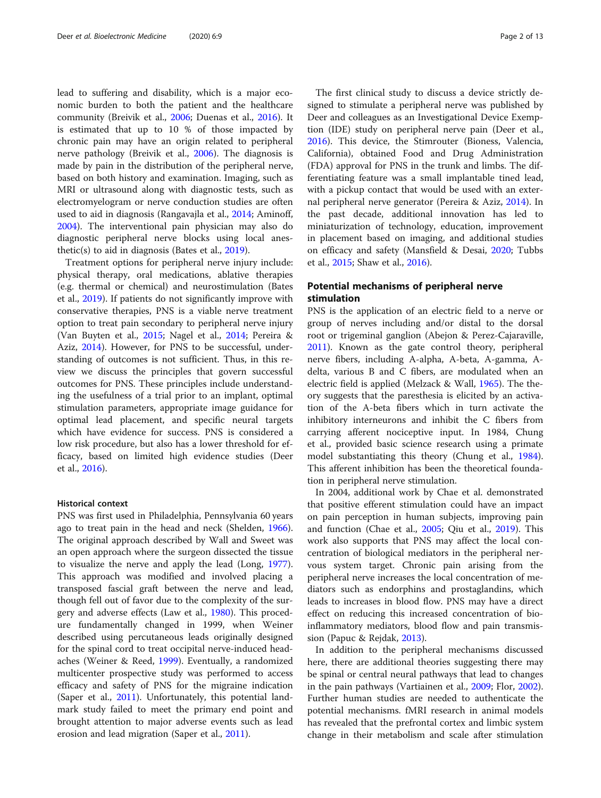lead to suffering and disability, which is a major economic burden to both the patient and the healthcare community (Breivik et al., [2006;](#page-10-0) Duenas et al., [2016\)](#page-11-0). It is estimated that up to 10 % of those impacted by chronic pain may have an origin related to peripheral nerve pathology (Breivik et al., [2006\)](#page-10-0). The diagnosis is made by pain in the distribution of the peripheral nerve, based on both history and examination. Imaging, such as MRI or ultrasound along with diagnostic tests, such as electromyelogram or nerve conduction studies are often used to aid in diagnosis (Rangavajla et al., [2014](#page-11-0); Aminoff, [2004](#page-10-0)). The interventional pain physician may also do diagnostic peripheral nerve blocks using local anesthetic(s) to aid in diagnosis (Bates et al., [2019](#page-10-0)).

Treatment options for peripheral nerve injury include: physical therapy, oral medications, ablative therapies (e.g. thermal or chemical) and neurostimulation (Bates et al., [2019](#page-10-0)). If patients do not significantly improve with conservative therapies, PNS is a viable nerve treatment option to treat pain secondary to peripheral nerve injury (Van Buyten et al., [2015](#page-12-0); Nagel et al., [2014;](#page-11-0) Pereira & Aziz, [2014\)](#page-11-0). However, for PNS to be successful, understanding of outcomes is not sufficient. Thus, in this review we discuss the principles that govern successful outcomes for PNS. These principles include understanding the usefulness of a trial prior to an implant, optimal stimulation parameters, appropriate image guidance for optimal lead placement, and specific neural targets which have evidence for success. PNS is considered a low risk procedure, but also has a lower threshold for efficacy, based on limited high evidence studies (Deer et al., [2016](#page-11-0)).

# Historical context

PNS was first used in Philadelphia, Pennsylvania 60 years ago to treat pain in the head and neck (Shelden, [1966](#page-12-0)). The original approach described by Wall and Sweet was an open approach where the surgeon dissected the tissue to visualize the nerve and apply the lead (Long, [1977](#page-11-0)). This approach was modified and involved placing a transposed fascial graft between the nerve and lead, though fell out of favor due to the complexity of the surgery and adverse effects (Law et al., [1980](#page-11-0)). This procedure fundamentally changed in 1999, when Weiner described using percutaneous leads originally designed for the spinal cord to treat occipital nerve-induced headaches (Weiner & Reed, [1999\)](#page-12-0). Eventually, a randomized multicenter prospective study was performed to access efficacy and safety of PNS for the migraine indication (Saper et al., [2011](#page-12-0)). Unfortunately, this potential landmark study failed to meet the primary end point and brought attention to major adverse events such as lead erosion and lead migration (Saper et al., [2011](#page-12-0)).

The first clinical study to discuss a device strictly designed to stimulate a peripheral nerve was published by Deer and colleagues as an Investigational Device Exemption (IDE) study on peripheral nerve pain (Deer et al., [2016](#page-11-0)). This device, the Stimrouter (Bioness, Valencia, California), obtained Food and Drug Administration (FDA) approval for PNS in the trunk and limbs. The differentiating feature was a small implantable tined lead, with a pickup contact that would be used with an external peripheral nerve generator (Pereira & Aziz, [2014](#page-11-0)). In the past decade, additional innovation has led to miniaturization of technology, education, improvement in placement based on imaging, and additional studies on efficacy and safety (Mansfield & Desai, [2020](#page-11-0); Tubbs et al., [2015](#page-12-0); Shaw et al., [2016\)](#page-12-0).

# Potential mechanisms of peripheral nerve stimulation

PNS is the application of an electric field to a nerve or group of nerves including and/or distal to the dorsal root or trigeminal ganglion (Abejon & Perez-Cajaraville, [2011](#page-10-0)). Known as the gate control theory, peripheral nerve fibers, including A-alpha, A-beta, A-gamma, Adelta, various B and C fibers, are modulated when an electric field is applied (Melzack & Wall, [1965](#page-11-0)). The theory suggests that the paresthesia is elicited by an activation of the A-beta fibers which in turn activate the inhibitory interneurons and inhibit the C fibers from carrying afferent nociceptive input. In 1984, Chung et al., provided basic science research using a primate model substantiating this theory (Chung et al., [1984](#page-10-0)). This afferent inhibition has been the theoretical foundation in peripheral nerve stimulation.

In 2004, additional work by Chae et al. demonstrated that positive efferent stimulation could have an impact on pain perception in human subjects, improving pain and function (Chae et al., [2005;](#page-10-0) Qiu et al., [2019\)](#page-11-0). This work also supports that PNS may affect the local concentration of biological mediators in the peripheral nervous system target. Chronic pain arising from the peripheral nerve increases the local concentration of mediators such as endorphins and prostaglandins, which leads to increases in blood flow. PNS may have a direct effect on reducing this increased concentration of bioinflammatory mediators, blood flow and pain transmission (Papuc & Rejdak, [2013\)](#page-11-0).

In addition to the peripheral mechanisms discussed here, there are additional theories suggesting there may be spinal or central neural pathways that lead to changes in the pain pathways (Vartiainen et al., [2009;](#page-12-0) Flor, [2002](#page-11-0)). Further human studies are needed to authenticate the potential mechanisms. fMRI research in animal models has revealed that the prefrontal cortex and limbic system change in their metabolism and scale after stimulation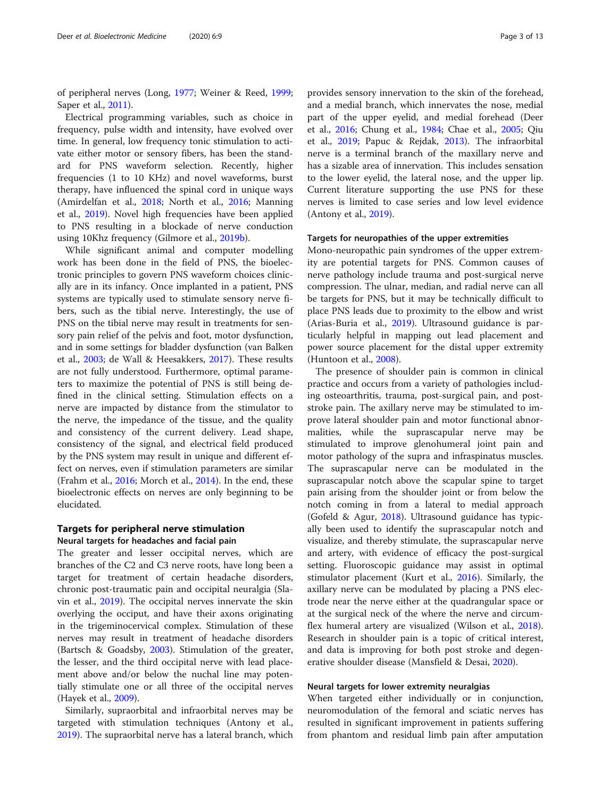of peripheral nerves (Long, [1977](#page-11-0); Weiner & Reed, [1999](#page-12-0); Saper et al., [2011\)](#page-12-0).

Electrical programming variables, such as choice in frequency, pulse width and intensity, have evolved over time. In general, low frequency tonic stimulation to activate either motor or sensory fibers, has been the standard for PNS waveform selection. Recently, higher frequencies (1 to 10 KHz) and novel waveforms, burst therapy, have influenced the spinal cord in unique ways (Amirdelfan et al., [2018](#page-10-0); North et al., [2016](#page-11-0); Manning et al., [2019\)](#page-11-0). Novel high frequencies have been applied to PNS resulting in a blockade of nerve conduction using 10Khz frequency (Gilmore et al., [2019b\)](#page-11-0).

While significant animal and computer modelling work has been done in the field of PNS, the bioelectronic principles to govern PNS waveform choices clinically are in its infancy. Once implanted in a patient, PNS systems are typically used to stimulate sensory nerve fibers, such as the tibial nerve. Interestingly, the use of PNS on the tibial nerve may result in treatments for sensory pain relief of the pelvis and foot, motor dysfunction, and in some settings for bladder dysfunction (van Balken et al., [2003](#page-12-0); de Wall & Heesakkers, [2017\)](#page-10-0). These results are not fully understood. Furthermore, optimal parameters to maximize the potential of PNS is still being defined in the clinical setting. Stimulation effects on a nerve are impacted by distance from the stimulator to the nerve, the impedance of the tissue, and the quality and consistency of the current delivery. Lead shape, consistency of the signal, and electrical field produced by the PNS system may result in unique and different effect on nerves, even if stimulation parameters are similar (Frahm et al., [2016;](#page-11-0) Morch et al., [2014\)](#page-11-0). In the end, these bioelectronic effects on nerves are only beginning to be elucidated.

# Targets for peripheral nerve stimulation Neural targets for headaches and facial pain

The greater and lesser occipital nerves, which are branches of the C2 and C3 nerve roots, have long been a target for treatment of certain headache disorders, chronic post-traumatic pain and occipital neuralgia (Slavin et al., [2019\)](#page-12-0). The occipital nerves innervate the skin overlying the occiput, and have their axons originating in the trigeminocervical complex. Stimulation of these nerves may result in treatment of headache disorders (Bartsch & Goadsby, [2003](#page-10-0)). Stimulation of the greater, the lesser, and the third occipital nerve with lead placement above and/or below the nuchal line may potentially stimulate one or all three of the occipital nerves (Hayek et al., [2009\)](#page-11-0).

Similarly, supraorbital and infraorbital nerves may be targeted with stimulation techniques (Antony et al., [2019](#page-10-0)). The supraorbital nerve has a lateral branch, which provides sensory innervation to the skin of the forehead, and a medial branch, which innervates the nose, medial part of the upper eyelid, and medial forehead (Deer et al., [2016;](#page-11-0) Chung et al., [1984;](#page-10-0) Chae et al., [2005](#page-10-0); Qiu et al., [2019](#page-11-0); Papuc & Rejdak, [2013](#page-11-0)). The infraorbital nerve is a terminal branch of the maxillary nerve and has a sizable area of innervation. This includes sensation to the lower eyelid, the lateral nose, and the upper lip. Current literature supporting the use PNS for these nerves is limited to case series and low level evidence (Antony et al., [2019\)](#page-10-0).

#### Targets for neuropathies of the upper extremities

Mono-neuropathic pain syndromes of the upper extremity are potential targets for PNS. Common causes of nerve pathology include trauma and post-surgical nerve compression. The ulnar, median, and radial nerve can all be targets for PNS, but it may be technically difficult to place PNS leads due to proximity to the elbow and wrist (Arias-Buria et al., [2019\)](#page-10-0). Ultrasound guidance is particularly helpful in mapping out lead placement and power source placement for the distal upper extremity (Huntoon et al., [2008](#page-11-0)).

The presence of shoulder pain is common in clinical practice and occurs from a variety of pathologies including osteoarthritis, trauma, post-surgical pain, and poststroke pain. The axillary nerve may be stimulated to improve lateral shoulder pain and motor functional abnormalities, while the suprascapular nerve may be stimulated to improve glenohumeral joint pain and motor pathology of the supra and infraspinatus muscles. The suprascapular nerve can be modulated in the suprascapular notch above the scapular spine to target pain arising from the shoulder joint or from below the notch coming in from a lateral to medial approach (Gofeld & Agur, [2018](#page-11-0)). Ultrasound guidance has typically been used to identify the suprascapular notch and visualize, and thereby stimulate, the suprascapular nerve and artery, with evidence of efficacy the post-surgical setting. Fluoroscopic guidance may assist in optimal stimulator placement (Kurt et al., [2016\)](#page-11-0). Similarly, the axillary nerve can be modulated by placing a PNS electrode near the nerve either at the quadrangular space or at the surgical neck of the where the nerve and circumflex humeral artery are visualized (Wilson et al., [2018](#page-12-0)). Research in shoulder pain is a topic of critical interest, and data is improving for both post stroke and degenerative shoulder disease (Mansfield & Desai, [2020](#page-11-0)).

# Neural targets for lower extremity neuralgias

When targeted either individually or in conjunction, neuromodulation of the femoral and sciatic nerves has resulted in significant improvement in patients suffering from phantom and residual limb pain after amputation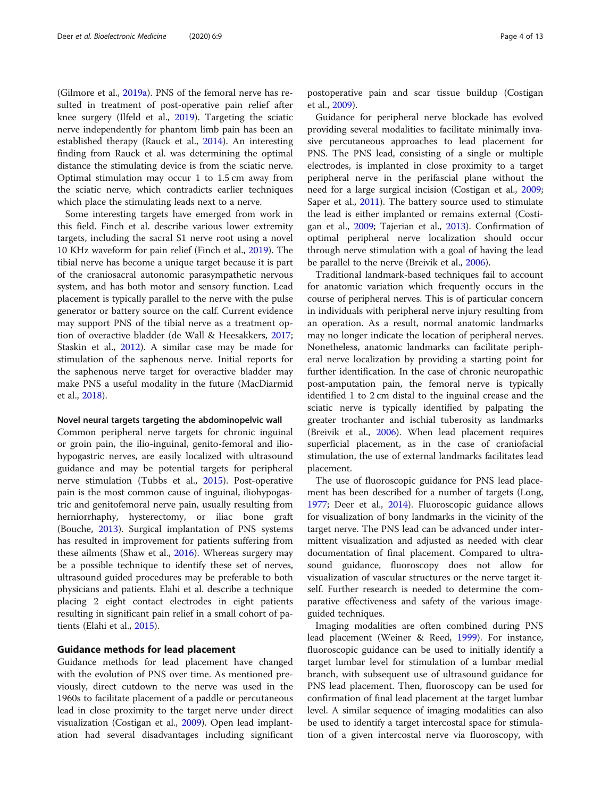(Gilmore et al., [2019a\)](#page-11-0). PNS of the femoral nerve has resulted in treatment of post-operative pain relief after knee surgery (Ilfeld et al., [2019\)](#page-11-0). Targeting the sciatic nerve independently for phantom limb pain has been an established therapy (Rauck et al., [2014\)](#page-11-0). An interesting finding from Rauck et al. was determining the optimal distance the stimulating device is from the sciatic nerve. Optimal stimulation may occur 1 to 1.5 cm away from the sciatic nerve, which contradicts earlier techniques which place the stimulating leads next to a nerve.

Some interesting targets have emerged from work in this field. Finch et al. describe various lower extremity targets, including the sacral S1 nerve root using a novel 10 KHz waveform for pain relief (Finch et al., [2019\)](#page-11-0). The tibial nerve has become a unique target because it is part of the craniosacral autonomic parasympathetic nervous system, and has both motor and sensory function. Lead placement is typically parallel to the nerve with the pulse generator or battery source on the calf. Current evidence may support PNS of the tibial nerve as a treatment option of overactive bladder (de Wall & Heesakkers, [2017](#page-10-0); Staskin et al., [2012](#page-12-0)). A similar case may be made for stimulation of the saphenous nerve. Initial reports for the saphenous nerve target for overactive bladder may make PNS a useful modality in the future (MacDiarmid et al., [2018](#page-11-0)).

## Novel neural targets targeting the abdominopelvic wall

Common peripheral nerve targets for chronic inguinal or groin pain, the ilio-inguinal, genito-femoral and iliohypogastric nerves, are easily localized with ultrasound guidance and may be potential targets for peripheral nerve stimulation (Tubbs et al., [2015\)](#page-12-0). Post-operative pain is the most common cause of inguinal, iliohypogastric and genitofemoral nerve pain, usually resulting from herniorrhaphy, hysterectomy, or iliac bone graft (Bouche, [2013](#page-10-0)). Surgical implantation of PNS systems has resulted in improvement for patients suffering from these ailments (Shaw et al., [2016](#page-12-0)). Whereas surgery may be a possible technique to identify these set of nerves, ultrasound guided procedures may be preferable to both physicians and patients. Elahi et al. describe a technique placing 2 eight contact electrodes in eight patients resulting in significant pain relief in a small cohort of patients (Elahi et al., [2015\)](#page-11-0).

# Guidance methods for lead placement

Guidance methods for lead placement have changed with the evolution of PNS over time. As mentioned previously, direct cutdown to the nerve was used in the 1960s to facilitate placement of a paddle or percutaneous lead in close proximity to the target nerve under direct visualization (Costigan et al., [2009\)](#page-10-0). Open lead implantation had several disadvantages including significant

postoperative pain and scar tissue buildup (Costigan et al., [2009](#page-10-0)).

Guidance for peripheral nerve blockade has evolved providing several modalities to facilitate minimally invasive percutaneous approaches to lead placement for PNS. The PNS lead, consisting of a single or multiple electrodes, is implanted in close proximity to a target peripheral nerve in the perifascial plane without the need for a large surgical incision (Costigan et al., [2009](#page-10-0); Saper et al., [2011](#page-12-0)). The battery source used to stimulate the lead is either implanted or remains external (Costigan et al., [2009](#page-10-0); Tajerian et al., [2013\)](#page-12-0). Confirmation of optimal peripheral nerve localization should occur through nerve stimulation with a goal of having the lead be parallel to the nerve (Breivik et al., [2006](#page-10-0)).

Traditional landmark-based techniques fail to account for anatomic variation which frequently occurs in the course of peripheral nerves. This is of particular concern in individuals with peripheral nerve injury resulting from an operation. As a result, normal anatomic landmarks may no longer indicate the location of peripheral nerves. Nonetheless, anatomic landmarks can facilitate peripheral nerve localization by providing a starting point for further identification. In the case of chronic neuropathic post-amputation pain, the femoral nerve is typically identified 1 to 2 cm distal to the inguinal crease and the sciatic nerve is typically identified by palpating the greater trochanter and ischial tuberosity as landmarks (Breivik et al., [2006\)](#page-10-0). When lead placement requires superficial placement, as in the case of craniofacial stimulation, the use of external landmarks facilitates lead placement.

The use of fluoroscopic guidance for PNS lead placement has been described for a number of targets (Long, [1977](#page-11-0); Deer et al., [2014](#page-11-0)). Fluoroscopic guidance allows for visualization of bony landmarks in the vicinity of the target nerve. The PNS lead can be advanced under intermittent visualization and adjusted as needed with clear documentation of final placement. Compared to ultrasound guidance, fluoroscopy does not allow for visualization of vascular structures or the nerve target itself. Further research is needed to determine the comparative effectiveness and safety of the various imageguided techniques.

Imaging modalities are often combined during PNS lead placement (Weiner & Reed, [1999\)](#page-12-0). For instance, fluoroscopic guidance can be used to initially identify a target lumbar level for stimulation of a lumbar medial branch, with subsequent use of ultrasound guidance for PNS lead placement. Then, fluoroscopy can be used for confirmation of final lead placement at the target lumbar level. A similar sequence of imaging modalities can also be used to identify a target intercostal space for stimulation of a given intercostal nerve via fluoroscopy, with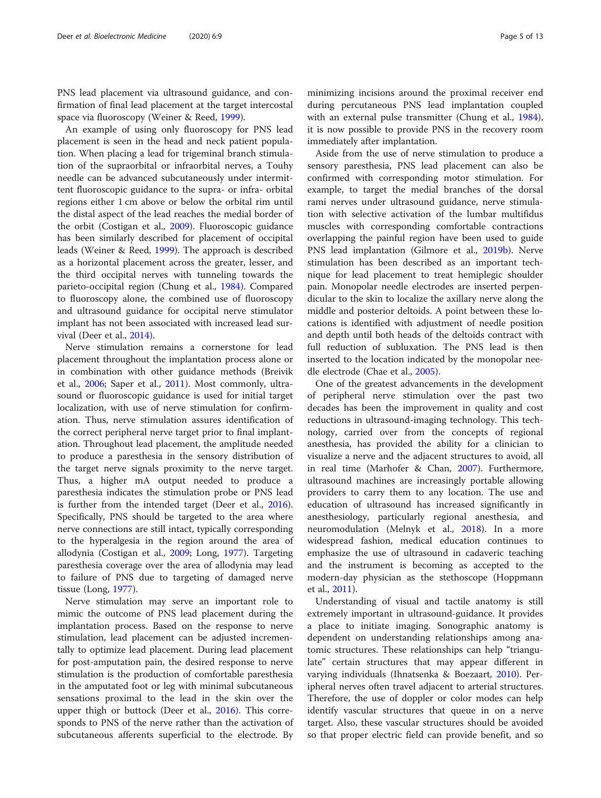PNS lead placement via ultrasound guidance, and confirmation of final lead placement at the target intercostal space via fluoroscopy (Weiner & Reed, [1999](#page-12-0)).

An example of using only fluoroscopy for PNS lead placement is seen in the head and neck patient population. When placing a lead for trigeminal branch stimulation of the supraorbital or infraorbital nerves, a Touhy needle can be advanced subcutaneously under intermittent fluoroscopic guidance to the supra- or infra- orbital regions either 1 cm above or below the orbital rim until the distal aspect of the lead reaches the medial border of the orbit (Costigan et al., [2009\)](#page-10-0). Fluoroscopic guidance has been similarly described for placement of occipital leads (Weiner & Reed, [1999\)](#page-12-0). The approach is described as a horizontal placement across the greater, lesser, and the third occipital nerves with tunneling towards the parieto-occipital region (Chung et al., [1984](#page-10-0)). Compared to fluoroscopy alone, the combined use of fluoroscopy and ultrasound guidance for occipital nerve stimulator implant has not been associated with increased lead survival (Deer et al., [2014](#page-11-0)).

Nerve stimulation remains a cornerstone for lead placement throughout the implantation process alone or in combination with other guidance methods (Breivik et al., [2006](#page-10-0); Saper et al., [2011](#page-12-0)). Most commonly, ultrasound or fluoroscopic guidance is used for initial target localization, with use of nerve stimulation for confirmation. Thus, nerve stimulation assures identification of the correct peripheral nerve target prior to final implantation. Throughout lead placement, the amplitude needed to produce a paresthesia in the sensory distribution of the target nerve signals proximity to the nerve target. Thus, a higher mA output needed to produce a paresthesia indicates the stimulation probe or PNS lead is further from the intended target (Deer et al., [2016](#page-11-0)). Specifically, PNS should be targeted to the area where nerve connections are still intact, typically corresponding to the hyperalgesia in the region around the area of allodynia (Costigan et al., [2009;](#page-10-0) Long, [1977](#page-11-0)). Targeting paresthesia coverage over the area of allodynia may lead to failure of PNS due to targeting of damaged nerve tissue (Long, [1977](#page-11-0)).

Nerve stimulation may serve an important role to mimic the outcome of PNS lead placement during the implantation process. Based on the response to nerve stimulation, lead placement can be adjusted incrementally to optimize lead placement. During lead placement for post-amputation pain, the desired response to nerve stimulation is the production of comfortable paresthesia in the amputated foot or leg with minimal subcutaneous sensations proximal to the lead in the skin over the upper thigh or buttock (Deer et al., [2016](#page-11-0)). This corresponds to PNS of the nerve rather than the activation of subcutaneous afferents superficial to the electrode. By

minimizing incisions around the proximal receiver end during percutaneous PNS lead implantation coupled with an external pulse transmitter (Chung et al., [1984](#page-10-0)), it is now possible to provide PNS in the recovery room immediately after implantation.

Aside from the use of nerve stimulation to produce a sensory paresthesia, PNS lead placement can also be confirmed with corresponding motor stimulation. For example, to target the medial branches of the dorsal rami nerves under ultrasound guidance, nerve stimulation with selective activation of the lumbar multifidus muscles with corresponding comfortable contractions overlapping the painful region have been used to guide PNS lead implantation (Gilmore et al., [2019b\)](#page-11-0). Nerve stimulation has been described as an important technique for lead placement to treat hemiplegic shoulder pain. Monopolar needle electrodes are inserted perpendicular to the skin to localize the axillary nerve along the middle and posterior deltoids. A point between these locations is identified with adjustment of needle position and depth until both heads of the deltoids contract with full reduction of subluxation. The PNS lead is then inserted to the location indicated by the monopolar needle electrode (Chae et al., [2005](#page-10-0)).

One of the greatest advancements in the development of peripheral nerve stimulation over the past two decades has been the improvement in quality and cost reductions in ultrasound-imaging technology. This technology, carried over from the concepts of regional anesthesia, has provided the ability for a clinician to visualize a nerve and the adjacent structures to avoid, all in real time (Marhofer & Chan, [2007](#page-11-0)). Furthermore, ultrasound machines are increasingly portable allowing providers to carry them to any location. The use and education of ultrasound has increased significantly in anesthesiology, particularly regional anesthesia, and neuromodulation (Melnyk et al., [2018](#page-11-0)). In a more widespread fashion, medical education continues to emphasize the use of ultrasound in cadaveric teaching and the instrument is becoming as accepted to the modern-day physician as the stethoscope (Hoppmann et al., [2011](#page-11-0)).

Understanding of visual and tactile anatomy is still extremely important in ultrasound-guidance. It provides a place to initiate imaging. Sonographic anatomy is dependent on understanding relationships among anatomic structures. These relationships can help "triangulate" certain structures that may appear different in varying individuals (Ihnatsenka & Boezaart, [2010\)](#page-11-0). Peripheral nerves often travel adjacent to arterial structures. Therefore, the use of doppler or color modes can help identify vascular structures that queue in on a nerve target. Also, these vascular structures should be avoided so that proper electric field can provide benefit, and so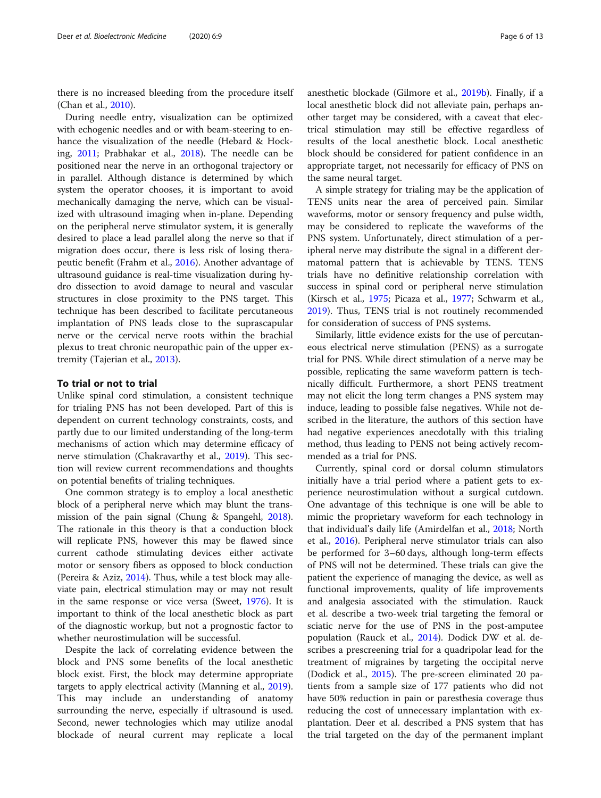there is no increased bleeding from the procedure itself (Chan et al., [2010\)](#page-10-0).

During needle entry, visualization can be optimized with echogenic needles and or with beam-steering to enhance the visualization of the needle (Hebard & Hocking, [2011](#page-11-0); Prabhakar et al., [2018\)](#page-11-0). The needle can be positioned near the nerve in an orthogonal trajectory or in parallel. Although distance is determined by which system the operator chooses, it is important to avoid mechanically damaging the nerve, which can be visualized with ultrasound imaging when in-plane. Depending on the peripheral nerve stimulator system, it is generally desired to place a lead parallel along the nerve so that if migration does occur, there is less risk of losing therapeutic benefit (Frahm et al., [2016](#page-11-0)). Another advantage of ultrasound guidance is real-time visualization during hydro dissection to avoid damage to neural and vascular structures in close proximity to the PNS target. This technique has been described to facilitate percutaneous implantation of PNS leads close to the suprascapular nerve or the cervical nerve roots within the brachial plexus to treat chronic neuropathic pain of the upper extremity (Tajerian et al., [2013](#page-12-0)).

# To trial or not to trial

Unlike spinal cord stimulation, a consistent technique for trialing PNS has not been developed. Part of this is dependent on current technology constraints, costs, and partly due to our limited understanding of the long-term mechanisms of action which may determine efficacy of nerve stimulation (Chakravarthy et al., [2019\)](#page-10-0). This section will review current recommendations and thoughts on potential benefits of trialing techniques.

One common strategy is to employ a local anesthetic block of a peripheral nerve which may blunt the transmission of the pain signal (Chung & Spangehl, [2018](#page-10-0)). The rationale in this theory is that a conduction block will replicate PNS, however this may be flawed since current cathode stimulating devices either activate motor or sensory fibers as opposed to block conduction (Pereira & Aziz, [2014](#page-11-0)). Thus, while a test block may alleviate pain, electrical stimulation may or may not result in the same response or vice versa (Sweet, [1976\)](#page-12-0). It is important to think of the local anesthetic block as part of the diagnostic workup, but not a prognostic factor to whether neurostimulation will be successful.

Despite the lack of correlating evidence between the block and PNS some benefits of the local anesthetic block exist. First, the block may determine appropriate targets to apply electrical activity (Manning et al., [2019](#page-11-0)). This may include an understanding of anatomy surrounding the nerve, especially if ultrasound is used. Second, newer technologies which may utilize anodal blockade of neural current may replicate a local anesthetic blockade (Gilmore et al., [2019b](#page-11-0)). Finally, if a local anesthetic block did not alleviate pain, perhaps another target may be considered, with a caveat that electrical stimulation may still be effective regardless of results of the local anesthetic block. Local anesthetic block should be considered for patient confidence in an appropriate target, not necessarily for efficacy of PNS on the same neural target.

A simple strategy for trialing may be the application of TENS units near the area of perceived pain. Similar waveforms, motor or sensory frequency and pulse width, may be considered to replicate the waveforms of the PNS system. Unfortunately, direct stimulation of a peripheral nerve may distribute the signal in a different dermatomal pattern that is achievable by TENS. TENS trials have no definitive relationship correlation with success in spinal cord or peripheral nerve stimulation (Kirsch et al., [1975;](#page-11-0) Picaza et al., [1977](#page-11-0); Schwarm et al., [2019](#page-12-0)). Thus, TENS trial is not routinely recommended for consideration of success of PNS systems.

Similarly, little evidence exists for the use of percutaneous electrical nerve stimulation (PENS) as a surrogate trial for PNS. While direct stimulation of a nerve may be possible, replicating the same waveform pattern is technically difficult. Furthermore, a short PENS treatment may not elicit the long term changes a PNS system may induce, leading to possible false negatives. While not described in the literature, the authors of this section have had negative experiences anecdotally with this trialing method, thus leading to PENS not being actively recommended as a trial for PNS.

Currently, spinal cord or dorsal column stimulators initially have a trial period where a patient gets to experience neurostimulation without a surgical cutdown. One advantage of this technique is one will be able to mimic the proprietary waveform for each technology in that individual's daily life (Amirdelfan et al., [2018](#page-10-0); North et al., [2016\)](#page-11-0). Peripheral nerve stimulator trials can also be performed for 3–60 days, although long-term effects of PNS will not be determined. These trials can give the patient the experience of managing the device, as well as functional improvements, quality of life improvements and analgesia associated with the stimulation. Rauck et al. describe a two-week trial targeting the femoral or sciatic nerve for the use of PNS in the post-amputee population (Rauck et al., [2014\)](#page-11-0). Dodick DW et al. describes a prescreening trial for a quadripolar lead for the treatment of migraines by targeting the occipital nerve (Dodick et al., [2015\)](#page-11-0). The pre-screen eliminated 20 patients from a sample size of 177 patients who did not have 50% reduction in pain or paresthesia coverage thus reducing the cost of unnecessary implantation with explantation. Deer et al. described a PNS system that has the trial targeted on the day of the permanent implant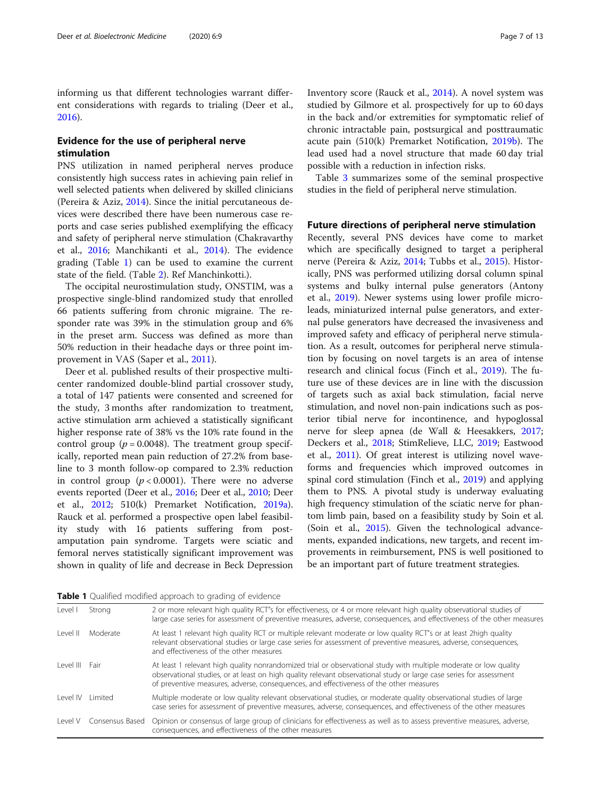informing us that different technologies warrant different considerations with regards to trialing (Deer et al., [2016](#page-11-0)).

# Evidence for the use of peripheral nerve stimulation

PNS utilization in named peripheral nerves produce consistently high success rates in achieving pain relief in well selected patients when delivered by skilled clinicians (Pereira & Aziz, [2014\)](#page-11-0). Since the initial percutaneous devices were described there have been numerous case reports and case series published exemplifying the efficacy and safety of peripheral nerve stimulation (Chakravarthy et al., [2016;](#page-10-0) Manchikanti et al., [2014](#page-11-0)). The evidence grading (Table 1) can be used to examine the current state of the field. (Table [2\)](#page-7-0). Ref Manchinkotti.).

The occipital neurostimulation study, ONSTIM, was a prospective single-blind randomized study that enrolled 66 patients suffering from chronic migraine. The responder rate was 39% in the stimulation group and 6% in the preset arm. Success was defined as more than 50% reduction in their headache days or three point im-provement in VAS (Saper et al., [2011](#page-12-0)).

Deer et al. published results of their prospective multicenter randomized double-blind partial crossover study, a total of 147 patients were consented and screened for the study, 3 months after randomization to treatment, active stimulation arm achieved a statistically significant higher response rate of 38% vs the 10% rate found in the control group ( $p = 0.0048$ ). The treatment group specifically, reported mean pain reduction of 27.2% from baseline to 3 month follow-op compared to 2.3% reduction in control group  $(p < 0.0001)$ . There were no adverse events reported (Deer et al., [2016](#page-11-0); Deer et al., [2010;](#page-11-0) Deer et al., [2012](#page-11-0); 510(k) Premarket Notification, [2019a](#page-10-0)). Rauck et al. performed a prospective open label feasibility study with 16 patients suffering from postamputation pain syndrome. Targets were sciatic and femoral nerves statistically significant improvement was shown in quality of life and decrease in Beck Depression Inventory score (Rauck et al., [2014](#page-11-0)). A novel system was studied by Gilmore et al. prospectively for up to 60 days in the back and/or extremities for symptomatic relief of chronic intractable pain, postsurgical and posttraumatic acute pain (510(k) Premarket Notification, [2019b\)](#page-10-0). The lead used had a novel structure that made 60 day trial possible with a reduction in infection risks.

Table [3](#page-9-0) summarizes some of the seminal prospective studies in the field of peripheral nerve stimulation.

# Future directions of peripheral nerve stimulation

Recently, several PNS devices have come to market which are specifically designed to target a peripheral nerve (Pereira & Aziz, [2014;](#page-11-0) Tubbs et al., [2015](#page-12-0)). Historically, PNS was performed utilizing dorsal column spinal systems and bulky internal pulse generators (Antony et al., [2019\)](#page-10-0). Newer systems using lower profile microleads, miniaturized internal pulse generators, and external pulse generators have decreased the invasiveness and improved safety and efficacy of peripheral nerve stimulation. As a result, outcomes for peripheral nerve stimulation by focusing on novel targets is an area of intense research and clinical focus (Finch et al., [2019](#page-11-0)). The future use of these devices are in line with the discussion of targets such as axial back stimulation, facial nerve stimulation, and novel non-pain indications such as posterior tibial nerve for incontinence, and hypoglossal nerve for sleep apnea (de Wall & Heesakkers, [2017](#page-10-0); Deckers et al., [2018;](#page-10-0) StimRelieve, LLC, [2019](#page-12-0); Eastwood et al., [2011\)](#page-11-0). Of great interest is utilizing novel waveforms and frequencies which improved outcomes in spinal cord stimulation (Finch et al., [2019\)](#page-11-0) and applying them to PNS. A pivotal study is underway evaluating high frequency stimulation of the sciatic nerve for phantom limb pain, based on a feasibility study by Soin et al. (Soin et al., [2015](#page-12-0)). Given the technological advancements, expanded indications, new targets, and recent improvements in reimbursement, PNS is well positioned to be an important part of future treatment strategies.

Table 1 Qualified modified approach to grading of evidence

| Level        | Strong          | 2 or more relevant high quality RCT"s for effectiveness, or 4 or more relevant high quality observational studies of<br>large case series for assessment of preventive measures, adverse, consequences, and effectiveness of the other measures                                                                                    |
|--------------|-----------------|------------------------------------------------------------------------------------------------------------------------------------------------------------------------------------------------------------------------------------------------------------------------------------------------------------------------------------|
| $ $ evel $ $ | Moderate        | At least 1 relevant high quality RCT or multiple relevant moderate or low quality RCT"s or at least 2high quality<br>relevant observational studies or large case series for assessment of preventive measures, adverse, consequences,<br>and effectiveness of the other measures                                                  |
| l evel III   | Fair            | At least 1 relevant high quality nonrandomized trial or observational study with multiple moderate or low quality<br>observational studies, or at least on high quality relevant observational study or large case series for assessment<br>of preventive measures, adverse, consequences, and effectiveness of the other measures |
| Level IV     | I imited        | Multiple moderate or low quality relevant observational studies, or moderate quality observational studies of large<br>case series for assessment of preventive measures, adverse, consequences, and effectiveness of the other measures                                                                                           |
| I evel V     | Consensus Based | Opinion or consensus of large group of clinicians for effectiveness as well as to assess preventive measures, adverse,<br>consequences, and effectiveness of the other measures                                                                                                                                                    |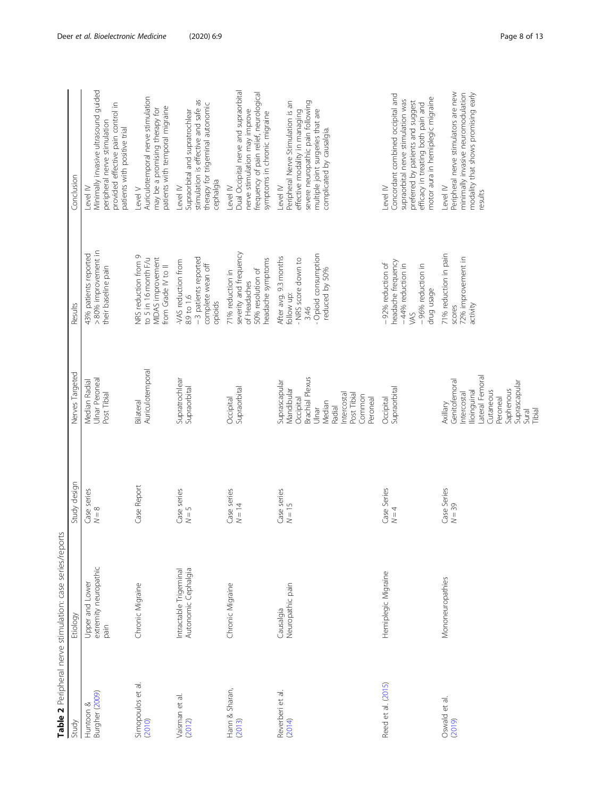<span id="page-7-0"></span>

|                             | Table 2 Peripheral nerve stimulation: case series/reports |                         |                                                                                                                                                     |                                                                                                              |                                                                                                                                                                                                     |
|-----------------------------|-----------------------------------------------------------|-------------------------|-----------------------------------------------------------------------------------------------------------------------------------------------------|--------------------------------------------------------------------------------------------------------------|-----------------------------------------------------------------------------------------------------------------------------------------------------------------------------------------------------|
| Study                       | Etiology                                                  | Study design            | Nerves Targeted                                                                                                                                     | Results                                                                                                      | Conclusion                                                                                                                                                                                          |
| Burgher (2009)<br>Huntoon & | extremity neuropathic<br>Upper and Lower<br>pain          | Case series<br>$N=8$    | Ulnar Peroneal<br>Median Radial<br>Post Tibial                                                                                                      | > 80% improvement in<br>43% patients reported<br>their baseline pain                                         | Minimally invasive ultrasound guided<br>provided effective pain control in<br>peripheral nerve stimulation<br>patients with positive trial<br>Level IV                                              |
| Simopoulos et al.<br>(2010) | Chronic Migraine                                          | Case Report             | Auriculotemporal<br>Bilateral                                                                                                                       | NRS reduction from 9<br>MIDAS improvement<br>to 5 in 16 month F/u<br>from Grade IV to II                     | Auriculotemporal nerve stimulation<br>patients with temporal migraine<br>may be a promising therapy for<br>Level V                                                                                  |
| Vaisman et al.<br>(2012)    | Autonomic Cephalgia<br>Intractable Trigeminal             | Case series<br>$N = 5$  | Supratrochlear<br>Supraorbital                                                                                                                      | - 3 patients reported<br>-VAS reduction from<br>complete wean off<br>8.9 to 1.6<br>opioids                   | stimulation is effective and safe as<br>therapy for trigeminal autonomic<br>Supraorbital and supratrochlear<br>cephalgia<br>Level IV                                                                |
| Hann & Sharan,<br>(2013)    | Chronic Migraine                                          | Case series<br>$N = 14$ | Supraorbital<br>Occipital                                                                                                                           | severity and frequency<br>headache symptoms<br>50% resolution of<br>71% reduction in<br>of Headaches         | Dual Occipital nerve and supraorbital<br>frequency of pain relief, neurological<br>nerve stimulation may improve<br>symptoms in chronic migraine<br>Level IV                                        |
| Reverberi et al.<br>(2014)  | Neuropathic pain<br>Causalgia                             | Case series<br>$N = 15$ | <b>Brachial Plexus</b><br>Suprascapular<br>Mandibular<br>ntercostal<br>Post Tibial<br>Common<br>Peroneal<br>Occipital<br>Median<br>Radial<br>Ulnar  | - Opioid consumption<br>After avg. 9.3 months<br>- NRS score down to<br>reduced by 50%<br>follow up:<br>3.46 | severe neuropathic pain following<br>Peripheral Nerve Stimulation is an<br>multiple joint surgeries that are<br>effective modality in managing<br>complicated by causalgia.<br>Level IV             |
| Reed et al. (2015)          | Hemiplegic Migraine                                       | Case Series<br>$N = 4$  | Supraorbital<br>Occipital                                                                                                                           | headache frequency<br>-92% reduction of<br>-44% reduction in<br>-96% reduction in<br>drug usage<br>VAS       | Concordant combined occipital and<br>motor aura in hemiplegic migraine<br>supraorbital nerve stimulation was<br>preferred by patients and suggest<br>efficacy in treating both pain and<br>Level IV |
| Oswald et al.<br>(2019)     | Mononeuropathies                                          | Case Series<br>$N = 39$ | Lateral Femoral<br>Genitofemoral<br>Suprascapular<br>Saphenous<br>Cutaneous<br>lioinguinal<br>ntercostal<br>Peroneal<br>Axillary<br>Tibial<br>Sural | 71% reduction in pain<br>72% improvement in<br>activity<br>scores                                            | Peripheral nerve stimulators are new<br>modality that shows promising early<br>minimally invasive neuromodulation<br>Level IV<br>results                                                            |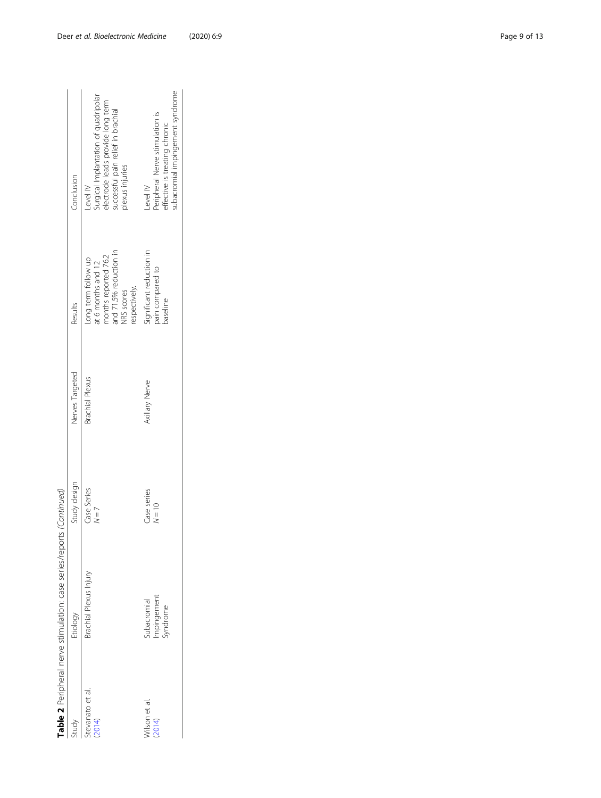|                            | Table 2 Peripheral nerve stimulation: case series/reports (Continued) |                         |                        |                                                                                                                            |                                                                                                                                                |
|----------------------------|-----------------------------------------------------------------------|-------------------------|------------------------|----------------------------------------------------------------------------------------------------------------------------|------------------------------------------------------------------------------------------------------------------------------------------------|
| Study                      | Etiology                                                              | Study design            | Nerves Targeted        | Results                                                                                                                    | Conclusion                                                                                                                                     |
| stevanato et al.<br>(2014) | Brachial Plexus Injury                                                | Case Series<br>$N = 7$  | <b>Brachial Plexus</b> | and 71.5% reduction in<br>nonths reported 76.2<br>Long term follow up<br>at 6 months and 12<br>respectively.<br>NRS scores | Surgical Implantation of quadripolar<br>electrode leads provide long term<br>successful pain relief in brachial<br>plexus injuries<br>$ewel$ M |
| Vilson et al.<br>(2014)    | Impingement<br>Syndrome<br>ubacromial                                 | Case series<br>$N = 10$ | Axillary Nerve         | Significant reduction in<br>pain compared to<br>paseline                                                                   | subacromial impingement syndrome<br>Peripheral Nerve stimulation is<br>effective is treating chronic<br>Level IV                               |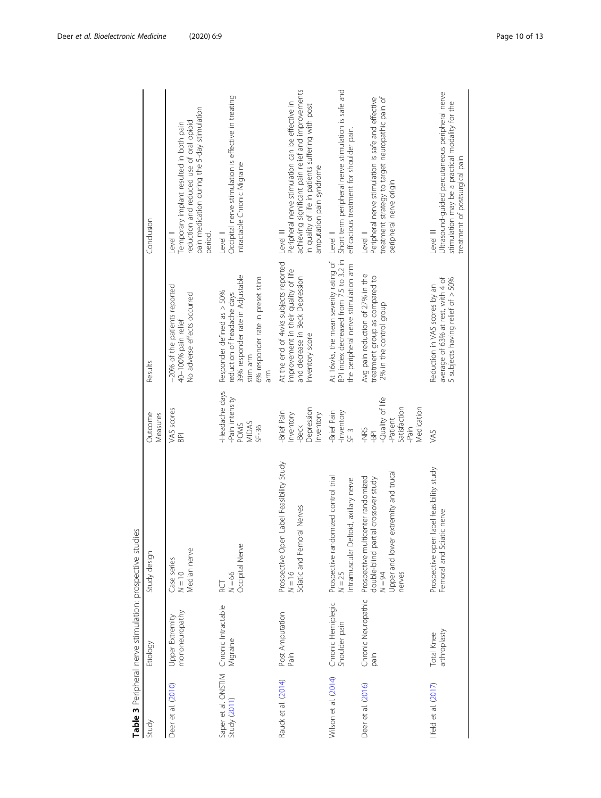<span id="page-9-0"></span>

|                      | Table 3 Peripheral nerve stimulation: prospective studies |                                                                                                                                          |                                                                                                     |                                                                                                                                                     |                                                                                                                                                                                                       |
|----------------------|-----------------------------------------------------------|------------------------------------------------------------------------------------------------------------------------------------------|-----------------------------------------------------------------------------------------------------|-----------------------------------------------------------------------------------------------------------------------------------------------------|-------------------------------------------------------------------------------------------------------------------------------------------------------------------------------------------------------|
| Study                | Etiology                                                  | Study design                                                                                                                             | Outcome<br>Measures                                                                                 | Results                                                                                                                                             | Conclusion                                                                                                                                                                                            |
| Deer et al. (2010)   | mononeuropathy<br>Upper Extremity                         | Median nerve<br>Case series<br>$N = 10$                                                                                                  | VAS scores<br>$\overline{B}$                                                                        | -20% of the patients reported<br>No adverse effects occurred<br>40-100% pain relief                                                                 | pain medication during the 5-day stimulation<br>reduction and reduced use of oral opioid<br>emporary implant resulted in both pain<br>Level II<br>period.                                             |
| Study (2011)         | Saper et al. ONSTIM Chronic Intractable<br>Migraine       | Occipital Nerve<br>$N = 66$<br>RCT                                                                                                       | -Headache days<br>-Pain intensity<br>MIDAS<br><b>POMS</b><br>$SF-36$                                | 39% responder rate in Adjustable<br>6% responder rate in preset stim<br>Responder defined as > 50%<br>reduction of headache days<br>stim arm<br>arm | Occipital nerve stimulation is effective in treating<br>ntractable Chronic Migraine<br>Level II                                                                                                       |
| Rauck et al. (2014)  | Post Amputation<br>Pain                                   | Prospective Open Label Feasibility Study<br>Sciatic and Femoral Nerves<br>$N = 16$                                                       | Depression<br>-Brief Pain<br>Inventory<br>Inventory<br>-Beck                                        | At the end of 4wks subjects reported<br>improvement in their quality of life<br>and decrease in Beck Depression<br>Inventory score                  | achieving significant pain relief and improvements<br>Peripheral nerve stimulation can be effective in<br>in quality of life in patients suffering with post<br>amputation pain syndrome<br>Level III |
| Wilson et al. (2014) | Chronic Hemiplegic<br>Shoulder pain                       | Prospective randomized control trial<br>Intramuscular Deltoid, axillary nerve<br>$N = 25$                                                | -Inventory<br>-Brief Pain<br>SF <sub>3</sub>                                                        | BPI index decreased from 7.5 to 3.2 in<br>At 16wks, the mean severity rating of<br>the peripheral nerve stimulation arm                             | Short term peripheral nerve stimulation is safe and<br>efficacious treatment for shoulder pain.<br>Level II                                                                                           |
| Deer et al. (2016)   | Chronic Neuropathic<br>pain                               | Upper and lower extremity and trucal<br>Prospective multicenter randomized<br>double-blind partial crossover study<br>$N = 94$<br>nerves | Quality of life<br>Satisfaction<br>Medication<br>-Patient<br>-Pain<br><b>SHN-</b><br>$\overline{5}$ | Avg pain reduction of 27% in the<br>treatment group as compared to<br>2% in the control group                                                       | Peripheral nerve stimulation is safe and effective<br>treatment strategy to target neuropathic pain of<br>peripheral nerve origin<br>Level II                                                         |
| Iffeld et al. (2017) | arthroplasty<br>Total Knee                                | Prospective open label feasibility study<br>Femoral and Sciatic nerve                                                                    | VAS                                                                                                 | average of 63% at rest, with 4 of<br>5 subjects having relief of > 50%<br>Reduction in VAS scores by an                                             | Ultrasound-guided percutaneous peripheral nerve<br>stimulation may be a practical modality for the<br>treatment of postsurgical pain<br>Level III                                                     |
|                      |                                                           |                                                                                                                                          |                                                                                                     |                                                                                                                                                     |                                                                                                                                                                                                       |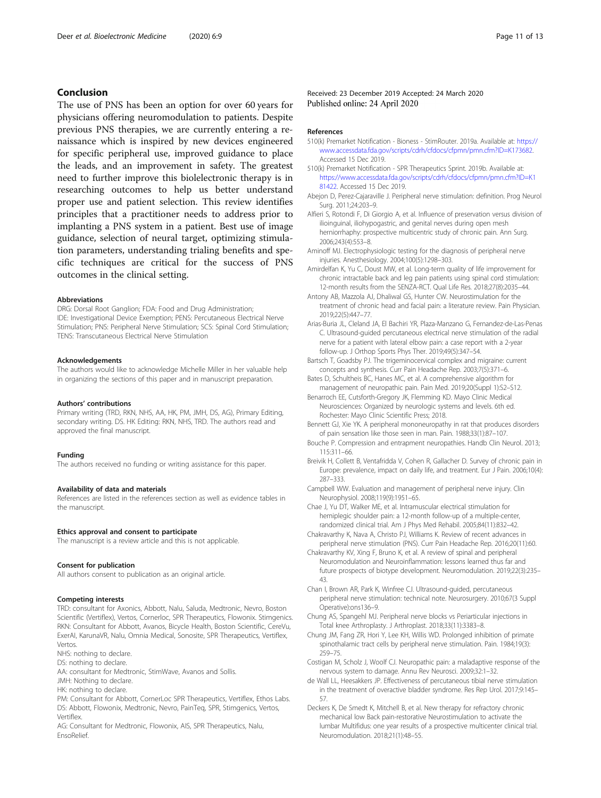# <span id="page-10-0"></span>Conclusion

The use of PNS has been an option for over 60 years for physicians offering neuromodulation to patients. Despite previous PNS therapies, we are currently entering a renaissance which is inspired by new devices engineered for specific peripheral use, improved guidance to place the leads, and an improvement in safety. The greatest need to further improve this biolelectronic therapy is in researching outcomes to help us better understand proper use and patient selection. This review identifies principles that a practitioner needs to address prior to implanting a PNS system in a patient. Best use of image guidance, selection of neural target, optimizing stimulation parameters, understanding trialing benefits and specific techniques are critical for the success of PNS outcomes in the clinical setting.

### Abbreviations

DRG: Dorsal Root Ganglion; FDA: Food and Drug Administration; IDE: Investigational Device Exemption; PENS: Percutaneous Electrical Nerve Stimulation; PNS: Peripheral Nerve Stimulation; SCS: Spinal Cord Stimulation; TENS: Transcutaneous Electrical Nerve Stimulation

#### Acknowledgements

The authors would like to acknowledge Michelle Miller in her valuable help in organizing the sections of this paper and in manuscript preparation.

#### Authors' contributions

Primary writing (TRD, RKN, NHS, AA, HK, PM, JMH, DS, AG), Primary Editing, secondary writing. DS. HK Editing: RKN, NHS, TRD. The authors read and approved the final manuscript.

# Funding

The authors received no funding or writing assistance for this paper.

# Availability of data and materials

References are listed in the references section as well as evidence tables in the manuscript.

#### Ethics approval and consent to participate

The manuscript is a review article and this is not applicable.

#### Consent for publication

All authors consent to publication as an original article.

# Competing interests

TRD: consultant for Axonics, Abbott, Nalu, Saluda, Medtronic, Nevro, Boston Scientific (Vertiflex), Vertos, Cornerloc, SPR Therapeutics, Flowonix. Stimgenics. RKN: Consultant for Abbott, Avanos, Bicycle Health, Boston Scientific, CereVu, ExerAI, KarunaVR, Nalu, Omnia Medical, Sonosite, SPR Therapeutics, Vertiflex, Vertos.

NHS: nothing to declare.

DS: nothing to declare.

AA: consultant for Medtronic, StimWave, Avanos and Sollis.

JMH: Nothing to declare.

HK: nothing to declare.

PM: Consultant for Abbott, CornerLoc SPR Therapeutics, Vertiflex, Ethos Labs. DS: Abbott, Flowonix, Medtronic, Nevro, PainTeq, SPR, Stimgenics, Vertos, **Vertiflex** 

AG: Consultant for Medtronic, Flowonix, AIS, SPR Therapeutics, Nalu, EnsoRelief.

Received: 23 December 2019 Accepted: 24 March 2020 Published online: 24 April 2020

#### References

- 510(k) Premarket Notification Bioness StimRouter. 2019a. Available at: [https://](https://www.accessdata.fda.gov/scripts/cdrh/cfdocs/cfpmn/pmn.cfm?ID=K181422) [www.accessdata.fda.gov/scripts/cdrh/cfdocs/cfpmn/pmn.cfm?ID=K173682.](https://www.accessdata.fda.gov/scripts/cdrh/cfdocs/cfpmn/pmn.cfm?ID=K181422) Accessed 15 Dec 2019.
- 510(k) Premarket Notification SPR Therapeutics Sprint. 2019b. Available at: [https://www.accessdata.fda.gov/scripts/cdrh/cfdocs/cfpmn/pmn.cfm?ID=K1](https://www.accessdata.fda.gov/scripts/cdrh/cfdocs/cfpmn/pmn.cfm?ID=K181422) [81422.](https://www.accessdata.fda.gov/scripts/cdrh/cfdocs/cfpmn/pmn.cfm?ID=K181422) Accessed 15 Dec 2019.
- Abejon D, Perez-Cajaraville J. Peripheral nerve stimulation: definition. Prog Neurol Surg. 2011;24:203–9.
- Alfieri S, Rotondi F, Di Giorgio A, et al. Influence of preservation versus division of ilioinguinal, iliohypogastric, and genital nerves during open mesh herniorrhaphy: prospective multicentric study of chronic pain. Ann Surg. 2006;243(4):553–8.
- Aminoff MJ. Electrophysiologic testing for the diagnosis of peripheral nerve injuries. Anesthesiology. 2004;100(5):1298–303.
- Amirdelfan K, Yu C, Doust MW, et al. Long-term quality of life improvement for chronic intractable back and leg pain patients using spinal cord stimulation: 12-month results from the SENZA-RCT. Qual Life Res. 2018;27(8):2035–44.

Antony AB, Mazzola AJ, Dhaliwal GS, Hunter CW. Neurostimulation for the treatment of chronic head and facial pain: a literature review. Pain Physician. 2019;22(5):447–77.

Arias-Buria JL, Cleland JA, El Bachiri YR, Plaza-Manzano G, Fernandez-de-Las-Penas C. Ultrasound-guided percutaneous electrical nerve stimulation of the radial nerve for a patient with lateral elbow pain: a case report with a 2-year follow-up. J Orthop Sports Phys Ther. 2019;49(5):347–54.

- Bartsch T, Goadsby PJ. The trigeminocervical complex and migraine: current concepts and synthesis. Curr Pain Headache Rep. 2003;7(5):371–6.
- Bates D, Schultheis BC, Hanes MC, et al. A comprehensive algorithm for management of neuropathic pain. Pain Med. 2019;20(Suppl 1):S2–S12.
- Benarroch EE, Cutsforth-Gregory JK, Flemming KD. Mayo Clinic Medical Neurosciences: Organized by neurologic systems and levels. 6th ed. Rochester: Mayo Clinic Scientific Press; 2018.
- Bennett GJ, Xie YK. A peripheral mononeuropathy in rat that produces disorders of pain sensation like those seen in man. Pain. 1988;33(1):87–107.
- Bouche P. Compression and entrapment neuropathies. Handb Clin Neurol. 2013; 115:311–66.
- Breivik H, Collett B, Ventafridda V, Cohen R, Gallacher D. Survey of chronic pain in Europe: prevalence, impact on daily life, and treatment. Eur J Pain. 2006;10(4): 287–333.
- Campbell WW. Evaluation and management of peripheral nerve injury. Clin Neurophysiol. 2008;119(9):1951–65.
- Chae J, Yu DT, Walker ME, et al. Intramuscular electrical stimulation for hemiplegic shoulder pain: a 12-month follow-up of a multiple-center, randomized clinical trial. Am J Phys Med Rehabil. 2005;84(11):832–42.
- Chakravarthy K, Nava A, Christo PJ, Williams K. Review of recent advances in peripheral nerve stimulation (PNS). Curr Pain Headache Rep. 2016;20(11):60.
- Chakravarthy KV, Xing F, Bruno K, et al. A review of spinal and peripheral Neuromodulation and Neuroinflammation: lessons learned thus far and future prospects of biotype development. Neuromodulation. 2019;22(3):235– 43.
- Chan I, Brown AR, Park K, Winfree CJ. Ultrasound-guided, percutaneous peripheral nerve stimulation: technical note. Neurosurgery. 2010;67(3 Suppl Operative):ons136–9.
- Chung AS, Spangehl MJ. Peripheral nerve blocks vs Periarticular injections in Total knee Arthroplasty. J Arthroplast. 2018;33(11):3383–8.
- Chung JM, Fang ZR, Hori Y, Lee KH, Willis WD. Prolonged inhibition of primate spinothalamic tract cells by peripheral nerve stimulation. Pain. 1984;19(3): 259–75.
- Costigan M, Scholz J, Woolf CJ. Neuropathic pain: a maladaptive response of the nervous system to damage. Annu Rev Neurosci. 2009;32:1–32.
- de Wall LL, Heesakkers JP. Effectiveness of percutaneous tibial nerve stimulation in the treatment of overactive bladder syndrome. Res Rep Urol. 2017;9:145– 57.
- Deckers K, De Smedt K, Mitchell B, et al. New therapy for refractory chronic mechanical low Back pain-restorative Neurostimulation to activate the lumbar Multifidus: one year results of a prospective multicenter clinical trial. Neuromodulation. 2018;21(1):48–55.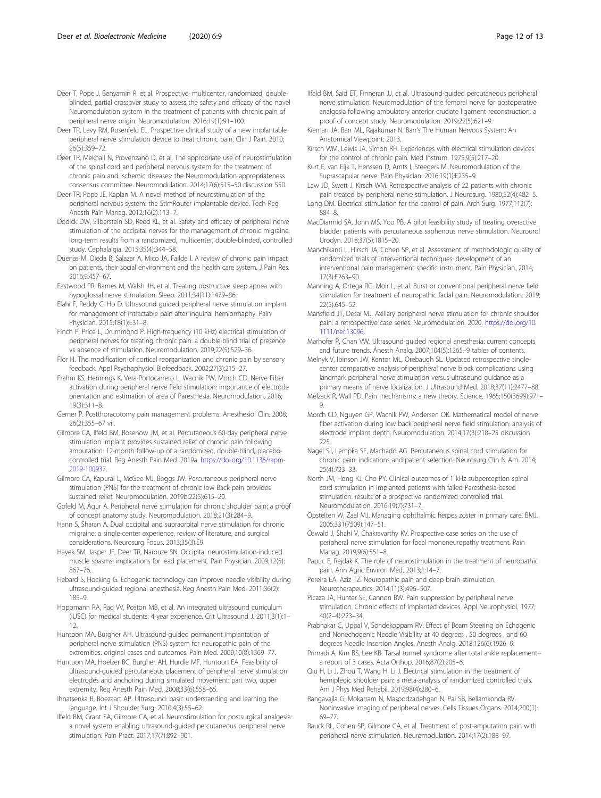- <span id="page-11-0"></span>Deer TR, Levy RM, Rosenfeld EL. Prospective clinical study of a new implantable peripheral nerve stimulation device to treat chronic pain. Clin J Pain. 2010; 26(5):359–72.
- Deer TR, Mekhail N, Provenzano D, et al. The appropriate use of neurostimulation of the spinal cord and peripheral nervous system for the treatment of chronic pain and ischemic diseases: the Neuromodulation appropriateness consensus committee. Neuromodulation. 2014;17(6):515–50 discussion 550.
- Deer TR, Pope JE, Kaplan M. A novel method of neurostimulation of the peripheral nervous system: the StimRouter implantable device. Tech Reg Anesth Pain Manag. 2012;16(2):113–7.
- Dodick DW, Silberstein SD, Reed KL, et al. Safety and efficacy of peripheral nerve stimulation of the occipital nerves for the management of chronic migraine: long-term results from a randomized, multicenter, double-blinded, controlled study. Cephalalgia. 2015;35(4):344–58.
- Duenas M, Ojeda B, Salazar A, Mico JA, Failde I. A review of chronic pain impact on patients, their social environment and the health care system. J Pain Res. 2016;9:457–67.
- Eastwood PR, Barnes M, Walsh JH, et al. Treating obstructive sleep apnea with hypoglossal nerve stimulation. Sleep. 2011;34(11):1479–86.
- Elahi F, Reddy C, Ho D. Ultrasound guided peripheral nerve stimulation implant for management of intractable pain after inguinal herniorrhaphy. Pain Physician. 2015;18(1):E31–8.
- Finch P, Price L, Drummond P. High-frequency (10 kHz) electrical stimulation of peripheral nerves for treating chronic pain: a double-blind trial of presence vs absence of stimulation. Neuromodulation. 2019;22(5):529–36.
- Flor H. The modification of cortical reorganization and chronic pain by sensory feedback. Appl Psychophysiol Biofeedback. 2002;27(3):215–27.
- Frahm KS, Hennings K, Vera-Portocarrero L, Wacnik PW, Morch CD. Nerve Fiber activation during peripheral nerve field stimulation: importance of electrode orientation and estimation of area of Paresthesia. Neuromodulation. 2016; 19(3):311–8.
- Gerner P. Postthoracotomy pain management problems. Anesthesiol Clin. 2008; 26(2):355–67 vii.
- Gilmore CA, Ilfeld BM, Rosenow JM, et al. Percutaneous 60-day peripheral nerve stimulation implant provides sustained relief of chronic pain following amputation: 12-month follow-up of a randomized, double-blind, placebocontrolled trial. Reg Anesth Pain Med. 2019a. [https://doi.org/10.1136/rapm-](https://doi.org/10.1136/rapm-2019-100937)[2019-100937.](https://doi.org/10.1136/rapm-2019-100937)
- Gilmore CA, Kapural L, McGee MJ, Boggs JW. Percutaneous peripheral nerve stimulation (PNS) for the treatment of chronic low Back pain provides sustained relief. Neuromodulation. 2019b;22(5):615–20.
- Gofeld M, Agur A. Peripheral nerve stimulation for chronic shoulder pain: a proof of concept anatomy study. Neuromodulation. 2018;21(3):284–9.
- Hann S, Sharan A. Dual occipital and supraorbital nerve stimulation for chronic migraine: a single-center experience, review of literature, and surgical considerations. Neurosurg Focus. 2013;35(3):E9.
- Hayek SM, Jasper JF, Deer TR, Narouze SN. Occipital neurostimulation-induced muscle spasms: implications for lead placement. Pain Physician. 2009;12(5): 867–76.
- Hebard S, Hocking G. Echogenic technology can improve needle visibility during ultrasound-guided regional anesthesia. Reg Anesth Pain Med. 2011;36(2): 185–9.
- Hoppmann RA, Rao VV, Poston MB, et al. An integrated ultrasound curriculum (iUSC) for medical students: 4-year experience. Crit Ultrasound J. 2011;3(1):1– 12.
- Huntoon MA, Burgher AH. Ultrasound-guided permanent implantation of peripheral nerve stimulation (PNS) system for neuropathic pain of the extremities: original cases and outcomes. Pain Med. 2009;10(8):1369–77.
- Huntoon MA, Hoelzer BC, Burgher AH, Hurdle MF, Huntoon EA. Feasibility of ultrasound-guided percutaneous placement of peripheral nerve stimulation electrodes and anchoring during simulated movement: part two, upper extremity. Reg Anesth Pain Med. 2008;33(6):558–65.
- Ihnatsenka B, Boezaart AP. Ultrasound: basic understanding and learning the language. Int J Shoulder Surg. 2010;4(3):55–62.
- Ilfeld BM, Grant SA, Gilmore CA, et al. Neurostimulation for postsurgical analgesia: a novel system enabling ultrasound-guided percutaneous peripheral nerve stimulation. Pain Pract. 2017;17(7):892–901.
- Ilfeld BM, Said ET, Finneran JJ, et al. Ultrasound-guided percutaneous peripheral nerve stimulation: Neuromodulation of the femoral nerve for postoperative analgesia following ambulatory anterior cruciate ligament reconstruction: a proof of concept study. Neuromodulation. 2019;22(5):621–9.
- Kiernan JA, Barr ML, Rajakumar N. Barr's The Human Nervous System: An Anatomical Viewpoint; 2013.
- Kirsch WM, Lewis JA, Simon RH. Experiences with electrical stimulation devices for the control of chronic pain. Med Instrum. 1975;9(5):217–20.
- Kurt E, van Eijk T, Henssen D, Arnts I, Steegers M. Neuromodulation of the Suprascapular nerve. Pain Physician. 2016;19(1):E235–9.
- Law JD, Swett J, Kirsch WM. Retrospective analysis of 22 patients with chronic pain treated by peripheral nerve stimulation. J Neurosurg. 1980;52(4):482–5.
- Long DM. Electrical stimulation for the control of pain. Arch Surg. 1977;112(7): 884–8.
- MacDiarmid SA, John MS, Yoo PB. A pilot feasibility study of treating overactive bladder patients with percutaneous saphenous nerve stimulation. Neurourol Urodyn. 2018;37(5):1815–20.
- Manchikanti L, Hirsch JA, Cohen SP, et al. Assessment of methodologic quality of randomized trials of interventional techniques: development of an interventional pain management specific instrument. Pain Physician. 2014; 17(3):E263–90.
- Manning A, Ortega RG, Moir L, et al. Burst or conventional peripheral nerve field stimulation for treatment of neuropathic facial pain. Neuromodulation. 2019; 22(5):645–52.
- Mansfield JT, Desai MJ. Axillary peripheral nerve stimulation for chronic shoulder pain: a retrospective case series. Neuromodulation. 2020. [https://doi.org/10.](https://doi.org/10.1111/ner.13096) [1111/ner.13096](https://doi.org/10.1111/ner.13096).
- Marhofer P, Chan VW. Ultrasound-guided regional anesthesia: current concepts and future trends. Anesth Analg. 2007;104(5):1265–9 tables of contents.

Melnyk V, Ibinson JW, Kentor ML, Orebaugh SL. Updated retrospective singlecenter comparative analysis of peripheral nerve block complications using landmark peripheral nerve stimulation versus ultrasound guidance as a primary means of nerve localization. J Ultrasound Med. 2018;37(11):2477–88.

- Melzack R, Wall PD. Pain mechanisms: a new theory. Science. 1965;150(3699):971– 9.
- Morch CD, Nguyen GP, Wacnik PW, Andersen OK. Mathematical model of nerve fiber activation during low back peripheral nerve field stimulation: analysis of electrode implant depth. Neuromodulation. 2014;17(3):218–25 discussion 225.
- Nagel SJ, Lempka SF, Machado AG. Percutaneous spinal cord stimulation for chronic pain: indications and patient selection. Neurosurg Clin N Am. 2014; 25(4):723–33.
- North JM, Hong KJ, Cho PY. Clinical outcomes of 1 kHz subperception spinal cord stimulation in implanted patients with failed Paresthesia-based stimulation: results of a prospective randomized controlled trial. Neuromodulation. 2016;19(7):731–7.
- Opstelten W, Zaal MJ. Managing ophthalmic herpes zoster in primary care. BMJ. 2005;331(7509):147–51.
- Oswald J, Shahi V, Chakravarthy KV. Prospective case series on the use of peripheral nerve stimulation for focal mononeuropathy treatment. Pain Manag. 2019;9(6):551–8.
- Papuc E, Rejdak K. The role of neurostimulation in the treatment of neuropathic pain. Ann Agric Environ Med. 2013;1:14–7.
- Pereira EA, Aziz TZ. Neuropathic pain and deep brain stimulation. Neurotherapeutics. 2014;11(3):496–507.
- Picaza JA, Hunter SE, Cannon BW. Pain suppression by peripheral nerve stimulation. Chronic effects of implanted devices. Appl Neurophysiol. 1977; 40(2–4):223–34.
- Prabhakar C, Uppal V, Sondekoppam RV. Effect of Beam Steering on Echogenic and Nonechogenic Needle Visibility at 40 degrees , 50 degrees , and 60 degrees Needle Insertion Angles. Anesth Analg. 2018;126(6):1926–9.
- Primadi A, Kim BS, Lee KB. Tarsal tunnel syndrome after total ankle replacement- a report of 3 cases. Acta Orthop. 2016;87(2):205–6.
- Qiu H, Li J, Zhou T, Wang H, Li J. Electrical stimulation in the treatment of hemiplegic shoulder pain: a meta-analysis of randomized controlled trials. Am J Phys Med Rehabil. 2019;98(4):280–6.
- Rangavajla G, Mokarram N, Masoodzadehgan N, Pai SB, Bellamkonda RV. Noninvasive imaging of peripheral nerves. Cells Tissues Organs. 2014;200(1): 69–77.
- Rauck RL, Cohen SP, Gilmore CA, et al. Treatment of post-amputation pain with peripheral nerve stimulation. Neuromodulation. 2014;17(2):188–97.